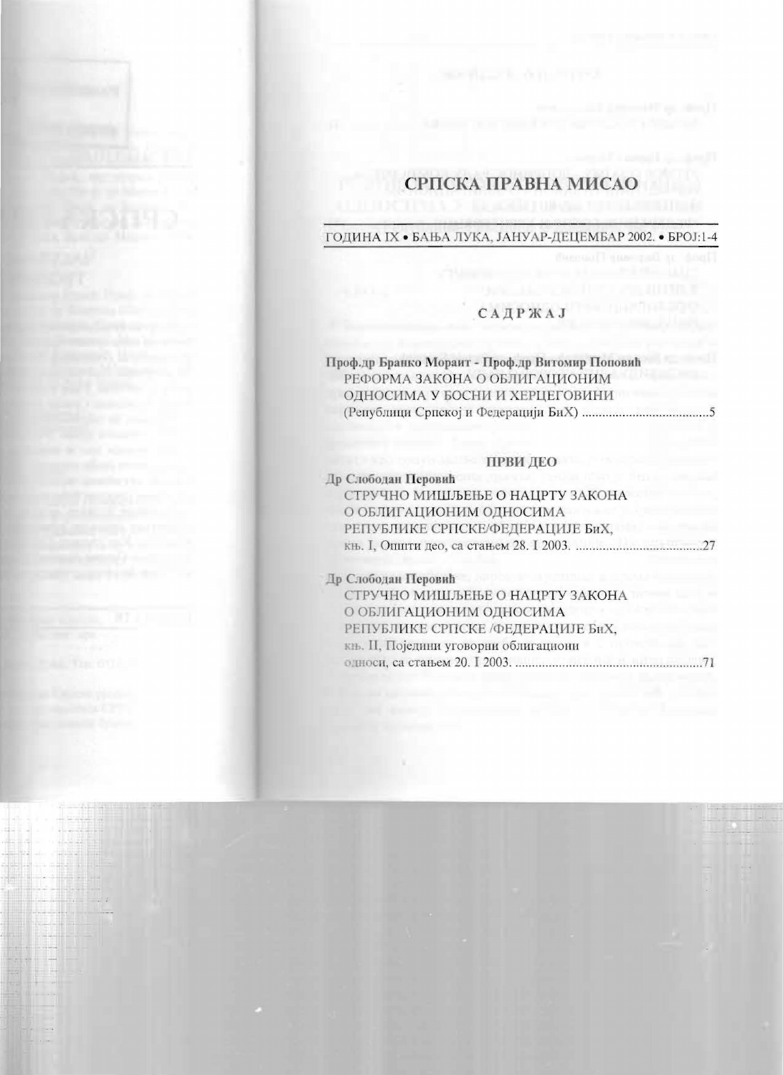# СРПСКА ПРАВНА МИСАО

#### ГОДИНА IX • БАЊА ЛУКА, ЈАНУАР-ДЕЦЕМБАР 2002. • БРОЈ:1-4

# **САДРЖАЈ**

| Проф.др Бранко Мораит - Проф.др Витомир Поповић |  |
|-------------------------------------------------|--|
| РЕФОРМА ЗАКОНА О ОБЛИГАЦИОНИМ                   |  |
| ОДНОСИМА У БОСНИ И ХЕРЦЕГОВИНИ                  |  |
|                                                 |  |

## ПРВИ ДЕО

| Др Слободан Перовић              |  |
|----------------------------------|--|
| СТРУЧНО МИШЉЕЊЕ О НАЦРТУ ЗАКОНА  |  |
| О ОБЛИГАЦИОНИМ ОДНОСИМА          |  |
| РЕПУБЛИКЕ СРПСКЕ/ФЕДЕРАЦИЈЕ БиХ, |  |
|                                  |  |
|                                  |  |

#### Др Слободан Перовић

| СТРУЧНО МИШЉЕЊЕ О НАЦРТУ ЗАКОНА       |  |
|---------------------------------------|--|
| О ОБЛИГАЦИОНИМ ОДНОСИМА               |  |
| РЕПУБЛИКЕ СРПСКЕ /ФЕДЕРАЦИЈЕ БиХ,     |  |
| књ. II, Поједини уговорни облигациони |  |
|                                       |  |